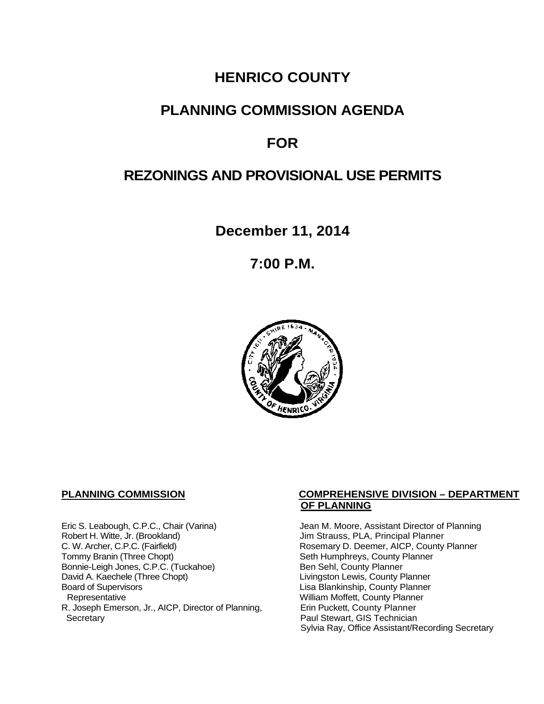# **HENRICO COUNTY**

# **PLANNING COMMISSION AGENDA**

# **FOR**

# **REZONINGS AND PROVISIONAL USE PERMITS**

**December 11, 2014**

**7:00 P.M.**



Eric S. Leabough, C.P.C., Chair (Varina) Jean M. Moore, Assistant Director of Planning<br>Robert H. Witte, Jr. (Brookland) Jim Strauss, PLA, Principal Planner Robert H. Witte, Jr. (Brookland)<br>C. W. Archer, C.P.C. (Fairfield) G. W. Archer, C.P.C. (Fairfield) C. W. Archer, C.P.C. (Fairfield) C. W. Archer, C.P.C. (Fairfield) Rosemary D. Deemer, AICP, County Planner<br>Tommy Branin (Three Chopt) Seth Humphreys, County Planner Bonnie-Leigh Jones, C.P.C. (Tuckahoe)<br>David A. Kaechele (Three Chopt) David A. Kaechele (Three Chopt) Livingston Lewis, County Planner<br>Board of Supervisors County Planner<br>Lisa Blankinship, County Planner Board of Supervisors Lisa Blankinship, County Planner R. Joseph Emerson, Jr., AICP, Director of Planning, Secretary

## **PLANNING COMMISSION COMPREHENSIVE DIVISION – DEPARTMENT OF PLANNING**

Seth Humphreys, County Planner<br>Ben Sehl, County Planner William Moffett, County Planner<br>Erin Puckett, County Planner Paul Stewart, GIS Technician Sylvia Ray, Office Assistant/Recording Secretary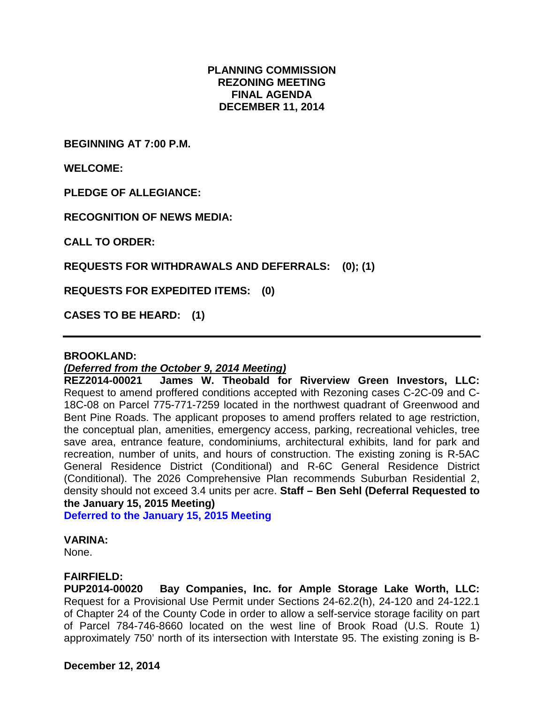## **PLANNING COMMISSION REZONING MEETING FINAL AGENDA DECEMBER 11, 2014**

**BEGINNING AT 7:00 P.M.**

**WELCOME:**

**PLEDGE OF ALLEGIANCE:**

**RECOGNITION OF NEWS MEDIA:**

**CALL TO ORDER:**

**REQUESTS FOR WITHDRAWALS AND DEFERRALS: (0); (1)**

**REQUESTS FOR EXPEDITED ITEMS: (0)**

**CASES TO BE HEARD: (1)**

### **BROOKLAND:**

## *(Deferred from the October 9, 2014 Meeting)*

**REZ2014-00021 James W. Theobald for Riverview Green Investors, LLC:** Request to amend proffered conditions accepted with Rezoning cases C-2C-09 and C-18C-08 on Parcel 775-771-7259 located in the northwest quadrant of Greenwood and Bent Pine Roads. The applicant proposes to amend proffers related to age restriction, the conceptual plan, amenities, emergency access, parking, recreational vehicles, tree save area, entrance feature, condominiums, architectural exhibits, land for park and recreation, number of units, and hours of construction. The existing zoning is R-5AC General Residence District (Conditional) and R-6C General Residence District (Conditional). The 2026 Comprehensive Plan recommends Suburban Residential 2, density should not exceed 3.4 units per acre. **Staff – Ben Sehl (Deferral Requested to the January 15, 2015 Meeting)**

**Deferred to the January 15, 2015 Meeting**

#### **VARINA:**

None.

## **FAIRFIELD:**

**PUP2014-00020 Bay Companies, Inc. for Ample Storage Lake Worth, LLC:**  Request for a Provisional Use Permit under Sections 24-62.2(h), 24-120 and 24-122.1 of Chapter 24 of the County Code in order to allow a self-service storage facility on part of Parcel 784-746-8660 located on the west line of Brook Road (U.S. Route 1) approximately 750' north of its intersection with Interstate 95. The existing zoning is B-